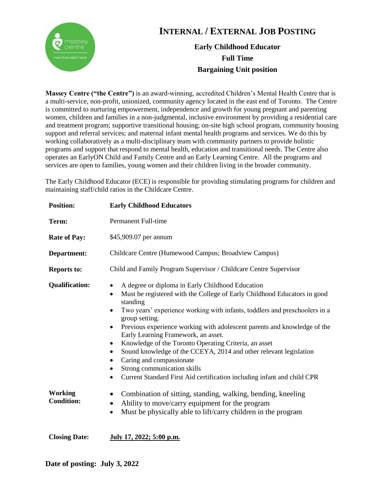

## **INTERNAL / EXTERNAL JOB POSTING**

## **Early Childhood Educator Full Time Bargaining Unit position**

**Massey Centre ("the Centre")** is an award-winning, accredited Children's Mental Health Centre that is a multi-service, non-profit, unionized, community agency located in the east end of Toronto. The Centre is committed to nurturing empowerment, independence and growth for young pregnant and parenting women, children and families in a non-judgmental, inclusive environment by providing a residential care and treatment program; supportive transitional housing; on-site high school program, community housing support and referral services; and maternal infant mental health programs and services. We do this by working collaboratively as a multi-disciplinary team with community partners to provide holistic programs and support that respond to mental health, education and transitional needs. The Centre also operates an EarlyON Child and Family Centre and an Early Learning Centre. All the programs and services are open to families, young women and their children living in the broader community.

The Early Childhood Educator (ECE) is responsible for providing stimulating programs for children and maintaining staff/child ratios in the Childcare Centre.

| <b>Position:</b>                    | <b>Early Childhood Educators</b>                                                                                                                                                                                                                                                                                                                                                                                                                                                                                                                                                                                                                                         |
|-------------------------------------|--------------------------------------------------------------------------------------------------------------------------------------------------------------------------------------------------------------------------------------------------------------------------------------------------------------------------------------------------------------------------------------------------------------------------------------------------------------------------------------------------------------------------------------------------------------------------------------------------------------------------------------------------------------------------|
| Term:                               | Permanent Full-time                                                                                                                                                                                                                                                                                                                                                                                                                                                                                                                                                                                                                                                      |
| <b>Rate of Pay:</b>                 | \$45,909.07 per annum                                                                                                                                                                                                                                                                                                                                                                                                                                                                                                                                                                                                                                                    |
| Department:                         | Childcare Centre (Humewood Campus; Broadview Campus)                                                                                                                                                                                                                                                                                                                                                                                                                                                                                                                                                                                                                     |
| <b>Reports to:</b>                  | Child and Family Program Supervisor / Childcare Centre Supervisor                                                                                                                                                                                                                                                                                                                                                                                                                                                                                                                                                                                                        |
| <b>Qualification:</b>               | A degree or diploma in Early Childhood Education<br>Must be registered with the College of Early Childhood Educators in good<br>$\bullet$<br>standing<br>Two years' experience working with infants, toddlers and preschoolers in a<br>٠<br>group setting.<br>Previous experience working with adolescent parents and knowledge of the<br>$\bullet$<br>Early Learning Framework, an asset.<br>Knowledge of the Toronto Operating Criteria, an asset<br>٠<br>Sound knowledge of the CCEYA, 2014 and other relevant legislation<br>٠<br>Caring and compassionate<br>Strong communication skills<br>Current Standard First Aid certification including infant and child CPR |
| <b>Working</b><br><b>Condition:</b> | Combination of sitting, standing, walking, bending, kneeling<br>Ability to move/carry equipment for the program<br>٠<br>Must be physically able to lift/carry children in the program<br>$\bullet$                                                                                                                                                                                                                                                                                                                                                                                                                                                                       |

**Closing Date: July 17, 2022; 5:00 p.m.**